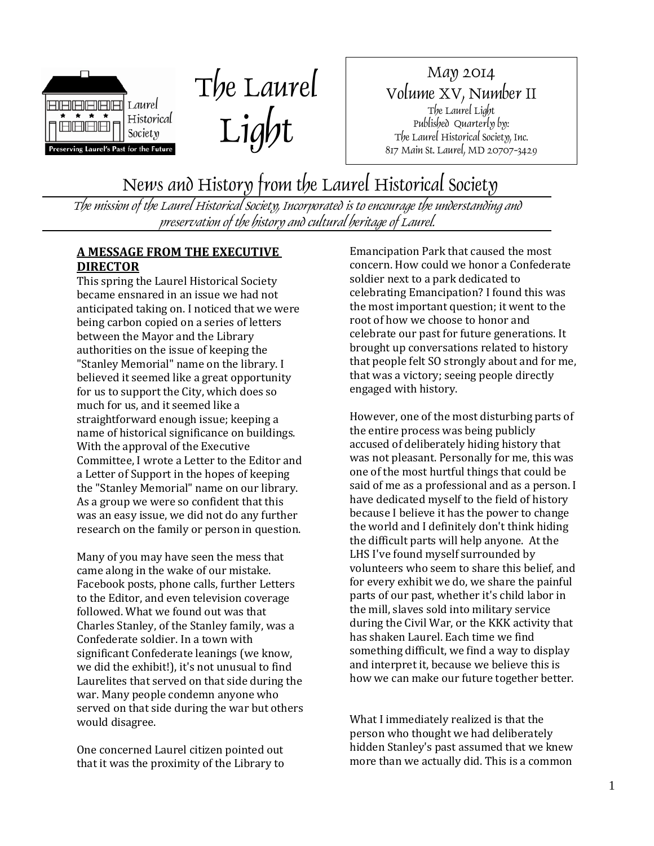



May 2014 Volume XV, Number II The Laurel Light Published Quarterly by: The Laurel Historical Society, Inc. 817 Main St. Laurel, MD 20707-3429

News and History from the Laurel Historical Society

The mission of the Laurel Historical Society, Incorporated is to encourage the understanding and preservation of the history and cultural heritage of Laurel.

#### **A MESSAGE FROM THE EXECUTIVE DIRECTOR**

This spring the Laurel Historical Society became ensnared in an issue we had not anticipated taking on. I noticed that we were being carbon copied on a series of letters between the Mayor and the Library authorities on the issue of keeping the "Stanley Memorial" name on the library. I believed it seemed like a great opportunity for us to support the City, which does so much for us, and it seemed like a straightforward enough issue; keeping a name of historical significance on buildings. With the approval of the Executive Committee, I wrote a Letter to the Editor and a Letter of Support in the hopes of keeping the "Stanley Memorial" name on our library. As a group we were so confident that this was an easy issue, we did not do any further research on the family or person in question.

Many of you may have seen the mess that came along in the wake of our mistake. Facebook posts, phone calls, further Letters to the Editor, and even television coverage followed. What we found out was that Charles Stanley, of the Stanley family, was a Confederate soldier. In a town with significant Confederate leanings (we know, we did the exhibit!), it's not unusual to find Laurelites that served on that side during the war. Many people condemn anyone who served on that side during the war but others would disagree.

One concerned Laurel citizen pointed out that it was the proximity of the Library to Emancipation Park that caused the most concern. How could we honor a Confederate soldier next to a park dedicated to celebrating Emancipation? I found this was the most important question; it went to the root of how we choose to honor and celebrate our past for future generations. It brought up conversations related to history that people felt SO strongly about and for me, that was a victory; seeing people directly engaged with history.

However, one of the most disturbing parts of the entire process was being publicly accused of deliberately hiding history that was not pleasant. Personally for me, this was one of the most hurtful things that could be said of me as a professional and as a person. I have dedicated myself to the field of history because I believe it has the power to change the world and I definitely don't think hiding the difficult parts will help anyone. At the LHS I've found myself surrounded by volunteers who seem to share this belief, and for every exhibit we do, we share the painful parts of our past, whether it's child labor in the mill, slaves sold into military service during the Civil War, or the KKK activity that has shaken Laurel. Each time we find something difficult, we find a way to display and interpret it, because we believe this is how we can make our future together better.

What I immediately realized is that the person who thought we had deliberately hidden Stanley's past assumed that we knew more than we actually did. This is a common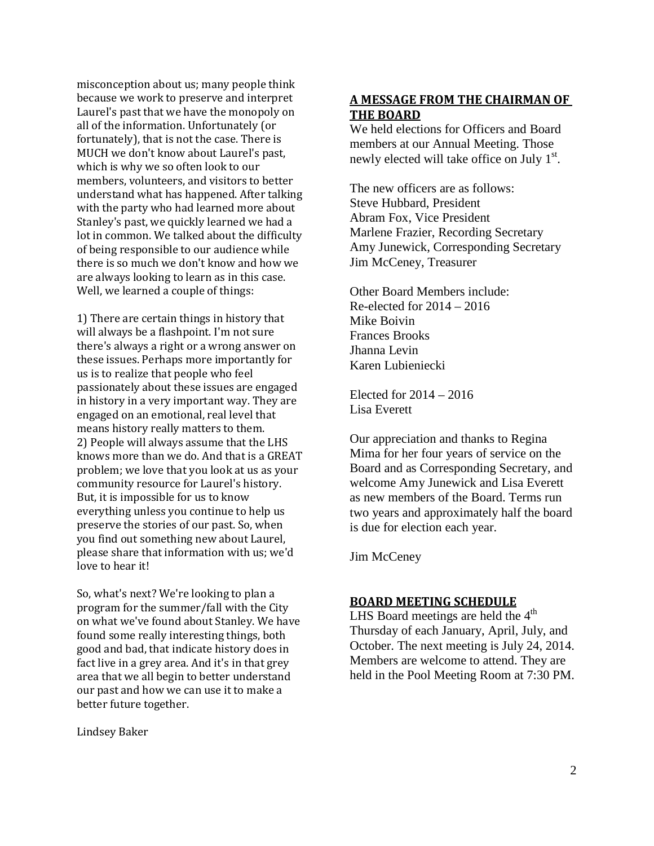misconception about us; many people think because we work to preserve and interpret Laurel's past that we have the monopoly on all of the information. Unfortunately (or fortunately), that is not the case. There is MUCH we don't know about Laurel's past, which is why we so often look to our members, volunteers, and visitors to better understand what has happened. After talking with the party who had learned more about Stanley's past, we quickly learned we had a lot in common. We talked about the difficulty of being responsible to our audience while there is so much we don't know and how we are always looking to learn as in this case. Well, we learned a couple of things:

1) There are certain things in history that will always be a flashpoint. I'm not sure there's always a right or a wrong answer on these issues. Perhaps more importantly for us is to realize that people who feel passionately about these issues are engaged in history in a very important way. They are engaged on an emotional, real level that means history really matters to them. 2) People will always assume that the LHS knows more than we do. And that is a GREAT problem; we love that you look at us as your community resource for Laurel's history. But, it is impossible for us to know everything unless you continue to help us preserve the stories of our past. So, when you find out something new about Laurel, please share that information with us; we'd love to hear it!

So, what's next? We're looking to plan a program for the summer/fall with the City on what we've found about Stanley. We have found some really interesting things, both good and bad, that indicate history does in fact live in a grey area. And it's in that grey area that we all begin to better understand our past and how we can use it to make a better future together.

Lindsey Baker

## **A MESSAGE FROM THE CHAIRMAN OF THE BOARD**

We held elections for Officers and Board members at our Annual Meeting. Those newly elected will take office on July 1<sup>st</sup>.

The new officers are as follows: Steve Hubbard, President Abram Fox, Vice President Marlene Frazier, Recording Secretary Amy Junewick, Corresponding Secretary Jim McCeney, Treasurer

Other Board Members include: Re-elected for 2014 – 2016 Mike Boivin Frances Brooks Jhanna Levin Karen Lubieniecki

Elected for 2014 – 2016 Lisa Everett

Our appreciation and thanks to Regina Mima for her four years of service on the Board and as Corresponding Secretary, and welcome Amy Junewick and Lisa Everett as new members of the Board. Terms run two years and approximately half the board is due for election each year.

Jim McCeney

#### **BOARD MEETING SCHEDULE**

LHS Board meetings are held the  $4<sup>th</sup>$ Thursday of each January, April, July, and October. The next meeting is July 24, 2014. Members are welcome to attend. They are held in the Pool Meeting Room at 7:30 PM.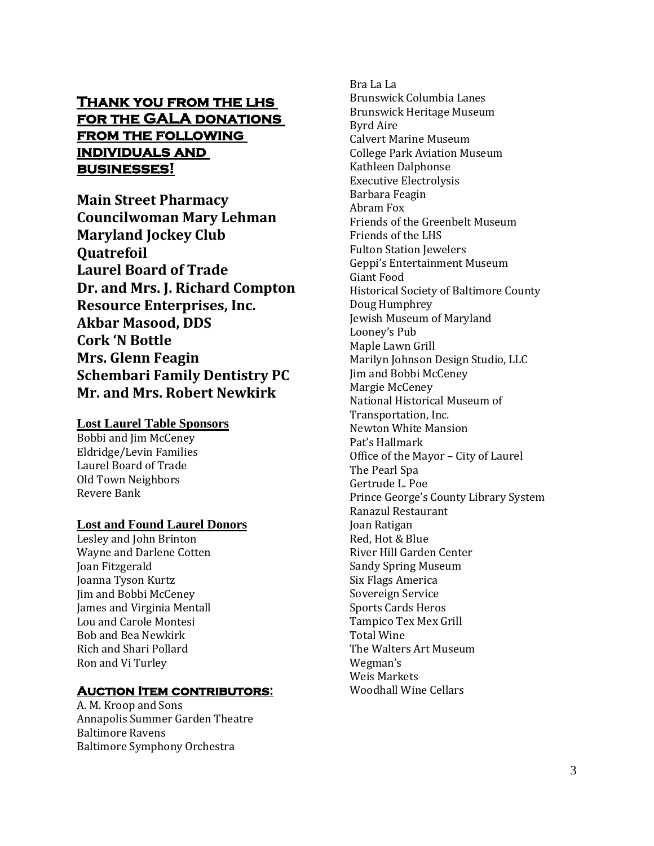## **Thank you from the lhs for the GALA donations from the following individuals and businesses!**

**Main Street Pharmacy Councilwoman Mary Lehman Maryland Jockey Club Quatrefoil Laurel Board of Trade Dr. and Mrs. J. Richard Compton Resource Enterprises, Inc. Akbar Masood, DDS Cork 'N Bottle Mrs. Glenn Feagin Schembari Family Dentistry PC Mr. and Mrs. Robert Newkirk**

# **Lost Laurel Table Sponsors**

Bobbi and Jim McCeney Eldridge/Levin Families Laurel Board of Trade Old Town Neighbors Revere Bank

## **Lost and Found Laurel Donors**

Lesley and John Brinton Wayne and Darlene Cotten Joan Fitzgerald Joanna Tyson Kurtz Jim and Bobbi McCeney James and Virginia Mentall Lou and Carole Montesi Bob and Bea Newkirk Rich and Shari Pollard Ron and Vi Turley

## **Auction Item contributors:**

A. M. Kroop and Sons Annapolis Summer Garden Theatre Baltimore Ravens Baltimore Symphony Orchestra

Bra La La Brunswick Columbia Lanes Brunswick Heritage Museum Byrd Aire Calvert Marine Museum College Park Aviation Museum Kathleen Dalphonse Executive Electrolysis Barbara Feagin Abram Fox Friends of the Greenbelt Museum Friends of the LHS Fulton Station Jewelers Geppi's Entertainment Museum Giant Food Historical Society of Baltimore County Doug Humphrey Jewish Museum of Maryland Looney's Pub Maple Lawn Grill Marilyn Johnson Design Studio, LLC Jim and Bobbi McCeney Margie McCeney National Historical Museum of Transportation, Inc. Newton White Mansion Pat's Hallmark Office of the Mayor – City of Laurel The Pearl Spa Gertrude L. Poe Prince George's County Library System Ranazul Restaurant Joan Ratigan Red, Hot & Blue River Hill Garden Center Sandy Spring Museum Six Flags America Sovereign Service Sports Cards Heros Tampico Tex Mex Grill Total Wine The Walters Art Museum Wegman's Weis Markets Woodhall Wine Cellars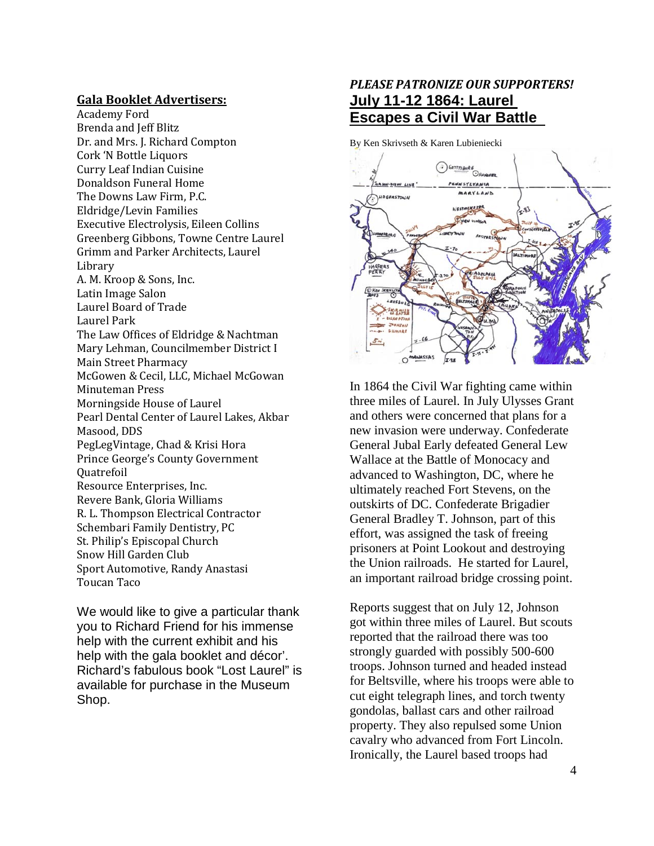#### **Gala Booklet Advertisers:**

Academy Ford Brenda and Jeff Blitz Dr. and Mrs. J. Richard Compton Cork 'N Bottle Liquors Curry Leaf Indian Cuisine Donaldson Funeral Home The Downs Law Firm, P.C. Eldridge/Levin Families Executive Electrolysis, Eileen Collins Greenberg Gibbons, Towne Centre Laurel Grimm and Parker Architects, Laurel Library A. M. Kroop & Sons, Inc. Latin Image Salon Laurel Board of Trade Laurel Park The Law Offices of Eldridge & Nachtman Mary Lehman, Councilmember District I Main Street Pharmacy McGowen & Cecil, LLC, Michael McGowan Minuteman Press Morningside House of Laurel Pearl Dental Center of Laurel Lakes, Akbar Masood, DDS PegLegVintage, Chad & Krisi Hora Prince George's County Government **Ouatrefoil** Resource Enterprises, Inc. Revere Bank, Gloria Williams R. L. Thompson Electrical Contractor Schembari Family Dentistry, PC St. Philip's Episcopal Church Snow Hill Garden Club Sport Automotive, Randy Anastasi Toucan Taco

We would like to give a particular thank you to Richard Friend for his immense help with the current exhibit and his help with the gala booklet and décor'. Richard's fabulous book "Lost Laurel" is available for purchase in the Museum Shop.

## *PLEASE PATRONIZE OUR SUPPORTERS!* **July 11-12 1864: Laurel Escapes a Civil War Battle**

By Ken Skrivseth & Karen Lubieniecki



In 1864 the Civil War fighting came within three miles of Laurel. In July Ulysses Grant and others were concerned that plans for a new invasion were underway. Confederate General Jubal Early defeated General Lew Wallace at the Battle of Monocacy and advanced to Washington, DC, where he ultimately reached Fort Stevens, on the outskirts of DC. Confederate Brigadier General Bradley T. Johnson, part of this effort, was assigned the task of freeing prisoners at Point Lookout and destroying the Union railroads. He started for Laurel, an important railroad bridge crossing point.

Reports suggest that on July 12, Johnson got within three miles of Laurel. But scouts reported that the railroad there was too strongly guarded with possibly 500-600 troops. Johnson turned and headed instead for Beltsville, where his troops were able to cut eight telegraph lines, and torch twenty gondolas, ballast cars and other railroad property. They also repulsed some Union cavalry who advanced from Fort Lincoln. Ironically, the Laurel based troops had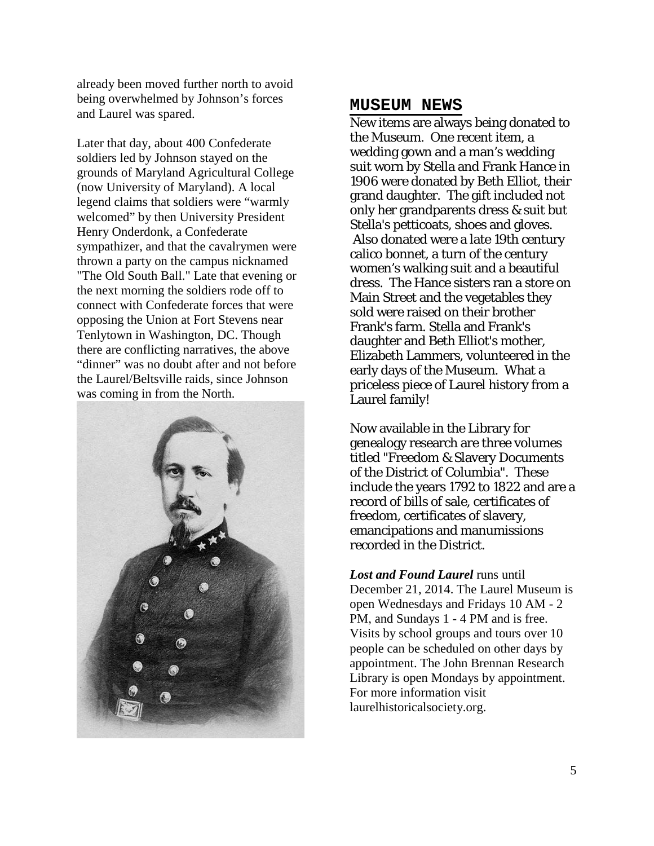already been moved further north to avoid being overwhelmed by Johnson's forces and Laurel was spared.

Later that day, about 400 Confederate soldiers led by Johnson stayed on the grounds of Maryland Agricultural College (now University of Maryland). A local legend claims that soldiers were "warmly welcomed" by then University President Henry Onderdonk, a Confederate sympathizer, and that the cavalrymen were thrown a party on the campus nicknamed "The Old South Ball." Late that evening or the next morning the soldiers rode off to connect with Confederate forces that were opposing the Union at Fort Stevens near Tenlytown in Washington, DC. Though there are conflicting narratives, the above "dinner" was no doubt after and not before the Laurel/Beltsville raids, since Johnson was coming in from the North.



#### **MUSEUM NEWS**

New items are always being donated to the Museum. One recent item, a wedding gown and a man's wedding suit worn by Stella and Frank Hance in 1906 were donated by Beth Elliot, their grand daughter. The gift included not only her grandparents dress & suit but Stella's petticoats, shoes and gloves. Also donated were a late 19th century calico bonnet, a turn of the century women's walking suit and a beautiful dress. The Hance sisters ran a store on Main Street and the vegetables they sold were raised on their brother Frank's farm. Stella and Frank's daughter and Beth Elliot's mother, Elizabeth Lammers, volunteered in the early days of the Museum. What a priceless piece of Laurel history from a Laurel family!

Now available in the Library for genealogy research are three volumes titled "Freedom & Slavery Documents of the District of Columbia". These include the years 1792 to 1822 and are a record of bills of sale, certificates of freedom, certificates of slavery, emancipations and manumissions recorded in the District.

*Lost and Found Laurel* runs until December 21, 2014. The Laurel Museum is open Wednesdays and Fridays 10 AM - 2 PM, and Sundays 1 - 4 PM and is free. Visits by school groups and tours over 10 people can be scheduled on other days by appointment. The John Brennan Research Library is open Mondays by appointment. For more information visit laurelhistoricalsociety.org.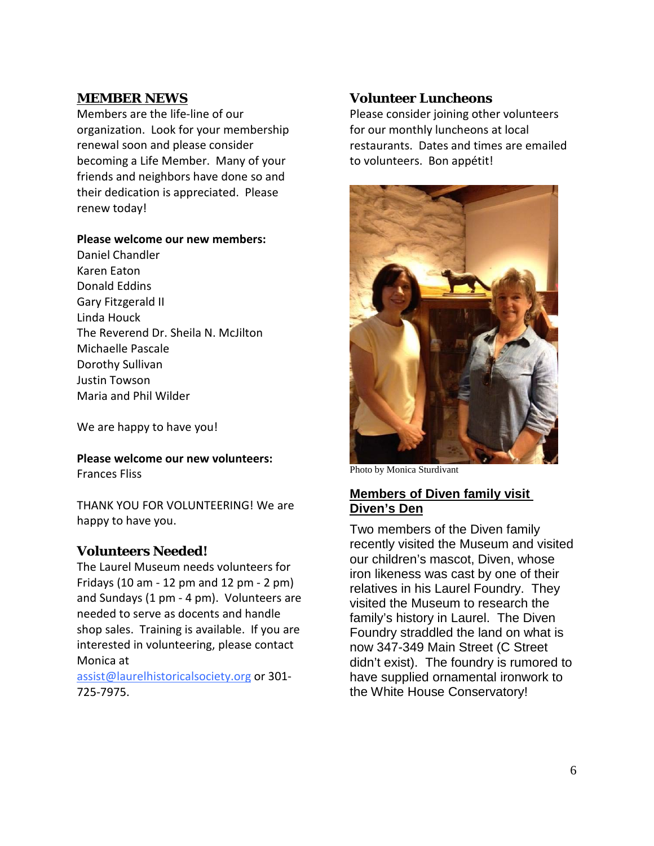## **MEMBER NEWS**

Members are the life-line of our organization. Look for your membership renewal soon and please consider becoming a Life Member. Many of your friends and neighbors have done so and their dedication is appreciated. Please renew today!

#### **Please welcome our new members:**

Daniel Chandler Karen Eaton Donald Eddins Gary Fitzgerald II Linda Houck The Reverend Dr. Sheila N. McJilton Michaelle Pascale Dorothy Sullivan Justin Towson Maria and Phil Wilder

We are happy to have you!

**Please welcome our new volunteers:** Frances Fliss

THANK YOU FOR VOLUNTEERING! We are happy to have you.

## **Volunteers Needed!**

The Laurel Museum needs volunteers for Fridays (10 am - 12 pm and 12 pm - 2 pm) and Sundays (1 pm - 4 pm). Volunteers are needed to serve as docents and handle shop sales. Training is available. If you are interested in volunteering, please contact Monica at assist@laurelhistoricalsociety.org or 301-

725-7975.

## **Volunteer Luncheons**

Please consider joining other volunteers for our monthly luncheons at local restaurants. Dates and times are emailed to volunteers. Bon appétit!



Photo by Monica Sturdivant

## **Members of Diven family visit Diven's Den**

Two members of the Diven family recently visited the Museum and visited our children's mascot, Diven, whose iron likeness was cast by one of their relatives in his Laurel Foundry. They visited the Museum to research the family's history in Laurel. The Diven Foundry straddled the land on what is now 347-349 Main Street (C Street didn't exist). The foundry is rumored to have supplied ornamental ironwork to the White House Conservatory!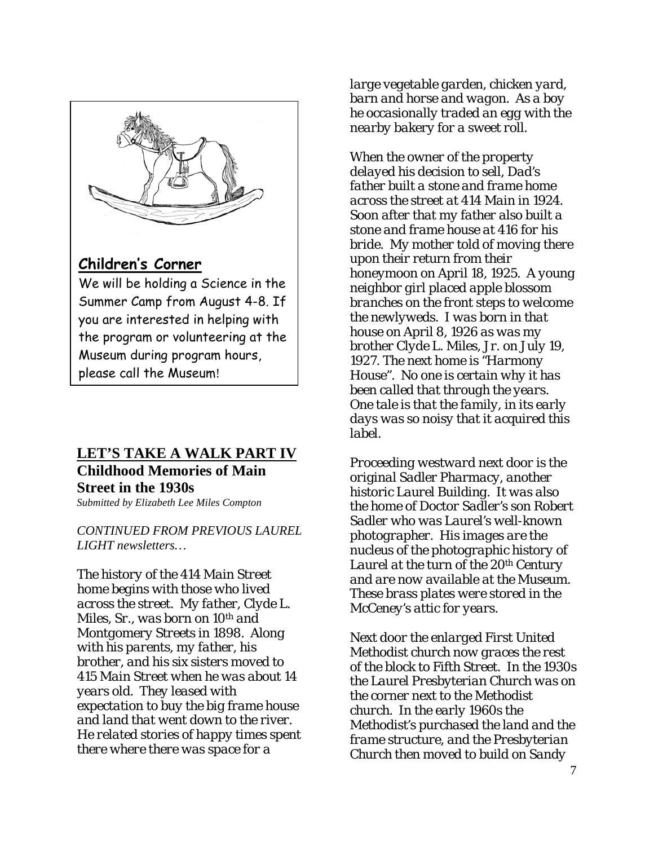

## **Children's Corner**

We will be holding a Science in the Summer Camp from August 4-8. If you are interested in helping with the program or volunteering at the Museum during program hours, please call the Museum!

# **Childhood Memories of Main Street in the 1930s LET'S TAKE A WALK PART IV**

*Submitted by Elizabeth Lee Miles Compton*

*CONTINUED FROM PREVIOUS LAUREL LIGHT newsletters…*

*The history of the 414 Main Street home begins with those who lived across the street. My father, Clyde L. Miles, Sr., was born on 10th and Montgomery Streets in 1898. Along with his parents, my father, his brother, and his six sisters moved to 415 Main Street when he was about 14 years old. They leased with expectation to buy the big frame house and land that went down to the river. He related stories of happy times spent there where there was space for a* 

*large vegetable garden, chicken yard, barn and horse and wagon. As a boy he occasionally traded an egg with the nearby bakery for a sweet roll.*

*When the owner of the property delayed his decision to sell, Dad's father built a stone and frame home across the street at 414 Main in 1924. Soon after that my father also built a stone and frame house at 416 for his bride. My mother told of moving there upon their return from their honeymoon on April 18, 1925. A young neighbor girl placed apple blossom branches on the front steps to welcome the newlyweds. I was born in that house on April 8, 1926 as was my brother Clyde L. Miles, Jr. on July 19, 1927. The next home is "Harmony House". No one is certain why it has been called that through the years. One tale is that the family, in its early days was so noisy that it acquired this label.*

*Proceeding westward next door is the original Sadler Pharmacy, another historic Laurel Building. It was also the home of Doctor Sadler's son Robert Sadler who was Laurel's well-known photographer. His images are the nucleus of the photographic history of Laurel at the turn of the 20th Century and are now available at the Museum. These brass plates were stored in the McCeney's attic for years.*

*Next door the enlarged First United Methodist church now graces the rest of the block to Fifth Street. In the 1930s the Laurel Presbyterian Church was on the corner next to the Methodist church. In the early 1960s the Methodist's purchased the land and the frame structure, and the Presbyterian Church then moved to build on Sandy*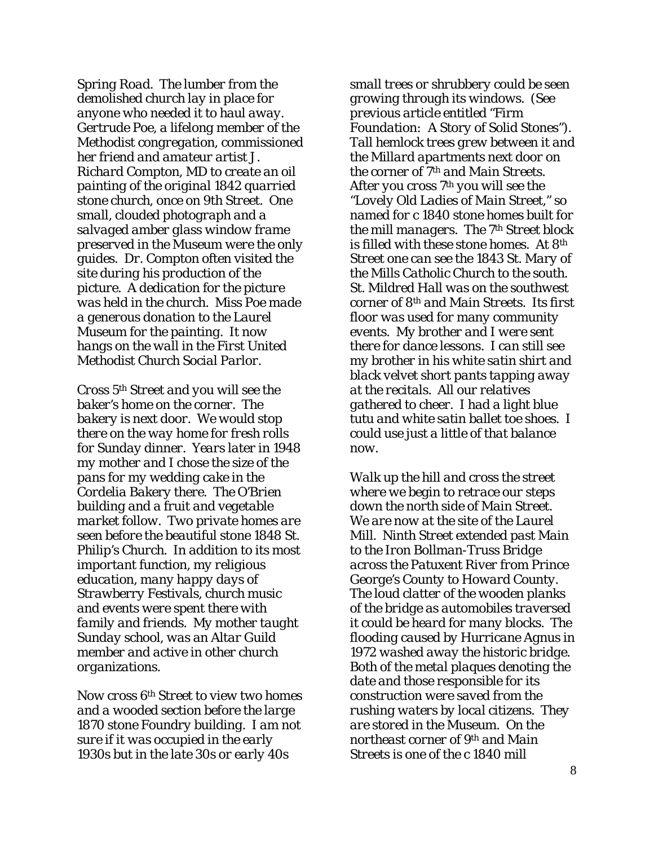*Spring Road. The lumber from the demolished church lay in place for anyone who needed it to haul away. Gertrude Poe, a lifelong member of the Methodist congregation, commissioned her friend and amateur artist J. Richard Compton, MD to create an oil painting of the original 1842 quarried stone church, once on 9th Street. One small, clouded photograph and a salvaged amber glass window frame preserved in the Museum were the only guides. Dr. Compton often visited the site during his production of the picture. A dedication for the picture was held in the church. Miss Poe made a generous donation to the Laurel Museum for the painting. It now hangs on the wall in the First United Methodist Church Social Parlor.*

*Cross 5th Street and you will see the baker's home on the corner. The bakery is next door. We would stop there on the way home for fresh rolls for Sunday dinner. Years later in 1948 my mother and I chose the size of the pans for my wedding cake in the Cordelia Bakery there. The O'Brien building and a fruit and vegetable market follow. Two private homes are seen before the beautiful stone 1848 St. Philip's Church. In addition to its most important function, my religious education, many happy days of Strawberry Festivals, church music and events were spent there with family and friends. My mother taught Sunday school, was an Altar Guild member and active in other church organizations.*

*Now cross 6th Street to view two homes and a wooded section before the large 1870 stone Foundry building. I am not sure if it was occupied in the early 1930s but in the late 30s or early 40s* 

*small trees or shrubbery could be seen growing through its windows. (See previous article entitled "Firm Foundation: A Story of Solid Stones"). Tall hemlock trees grew between it and the Millard apartments next door on the corner of 7th and Main Streets. After you cross 7th you will see the "Lovely Old Ladies of Main Street," so named for c 1840 stone homes built for the mill managers. The 7th Street block is filled with these stone homes. At 8th Street one can see the 1843 St. Mary of the Mills Catholic Church to the south. St. Mildred Hall was on the southwest corner of 8th and Main Streets. Its first floor was used for many community events. My brother and I were sent there for dance lessons. I can still see my brother in his white satin shirt and black velvet short pants tapping away at the recitals. All our relatives gathered to cheer. I had a light blue tutu and white satin ballet toe shoes. I could use just a little of that balance now.*

*Walk up the hill and cross the street where we begin to retrace our steps down the north side of Main Street. We are now at the site of the Laurel Mill. Ninth Street extended past Main to the Iron Bollman-Truss Bridge across the Patuxent River from Prince George's County to Howard County. The loud clatter of the wooden planks of the bridge as automobiles traversed it could be heard for many blocks. The flooding caused by Hurricane Agnus in 1972 washed away the historic bridge. Both of the metal plaques denoting the date and those responsible for its construction were saved from the rushing waters by local citizens. They are stored in the Museum. On the northeast corner of 9th and Main Streets is one of the c 1840 mill*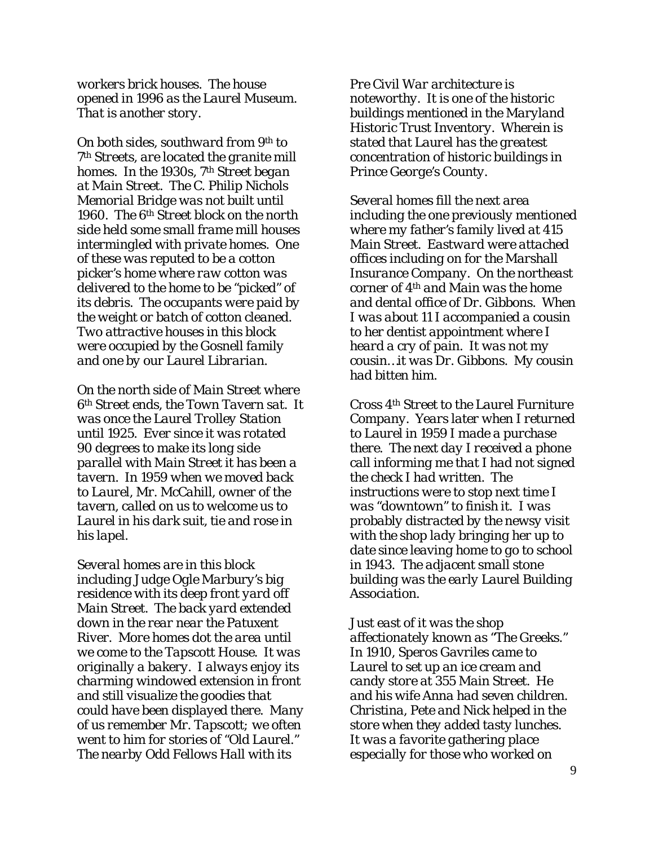*workers brick houses. The house opened in 1996 as the Laurel Museum. That is another story.*

*On both sides, southward from 9th to 7th Streets, are located the granite mill homes. In the 1930s, 7th Street began at Main Street. The C. Philip Nichols Memorial Bridge was not built until 1960. The 6th Street block on the north side held some small frame mill houses intermingled with private homes. One of these was reputed to be a cotton picker's home where raw cotton was delivered to the home to be "picked" of its debris. The occupants were paid by the weight or batch of cotton cleaned. Two attractive houses in this block were occupied by the Gosnell family and one by our Laurel Librarian.*

*On the north side of Main Street where 6th Street ends, the Town Tavern sat. It was once the Laurel Trolley Station until 1925. Ever since it was rotated 90 degrees to make its long side parallel with Main Street it has been a tavern. In 1959 when we moved back to Laurel, Mr. McCahill, owner of the tavern, called on us to welcome us to Laurel in his dark suit, tie and rose in his lapel.*

*Several homes are in this block including Judge Ogle Marbury's big residence with its deep front yard off Main Street. The back yard extended down in the rear near the Patuxent River. More homes dot the area until we come to the Tapscott House. It was originally a bakery. I always enjoy its charming windowed extension in front and still visualize the goodies that could have been displayed there. Many of us remember Mr. Tapscott; we often went to him for stories of "Old Laurel." The nearby Odd Fellows Hall with its*

*Pre Civil War architecture is noteworthy. It is one of the historic buildings mentioned in the Maryland Historic Trust Inventory. Wherein is stated that Laurel has the greatest concentration of historic buildings in Prince George's County.*

*Several homes fill the next area including the one previously mentioned where my father's family lived at 415 Main Street. Eastward were attached offices including on for the Marshall Insurance Company. On the northeast corner of 4th and Main was the home and dental office of Dr. Gibbons. When I was about 11 I accompanied a cousin to her dentist appointment where I heard a cry of pain. It was not my cousin…it was Dr. Gibbons. My cousin had bitten him.*

*Cross 4th Street to the Laurel Furniture Company. Years later when I returned to Laurel in 1959 I made a purchase there. The next day I received a phone call informing me that I had not signed the check I had written. The instructions were to stop next time I was "downtown" to finish it. I was probably distracted by the newsy visit with the shop lady bringing her up to date since leaving home to go to school in 1943. The adjacent small stone building was the early Laurel Building Association.*

*Just east of it was the shop affectionately known as "The Greeks." In 1910, Speros Gavriles came to Laurel to set up an ice cream and candy store at 355 Main Street. He and his wife Anna had seven children. Christina, Pete and Nick helped in the store when they added tasty lunches. It was a favorite gathering place especially for those who worked on*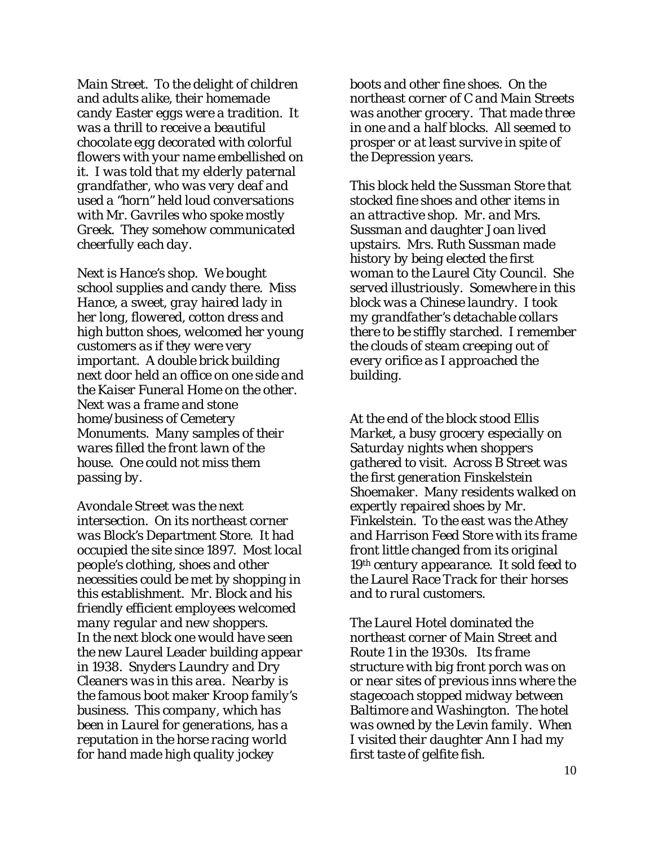*Main Street. To the delight of children and adults alike, their homemade candy Easter eggs were a tradition. It was a thrill to receive a beautiful chocolate egg decorated with colorful flowers with your name embellished on it. I was told that my elderly paternal grandfather, who was very deaf and used a "horn" held loud conversations with Mr. Gavriles who spoke mostly Greek. They somehow communicated cheerfully each day.*

*Next is Hance's shop. We bought school supplies and candy there. Miss Hance, a sweet, gray haired lady in her long, flowered, cotton dress and high button shoes, welcomed her young customers as if they were very important. A double brick building next door held an office on one side and the Kaiser Funeral Home on the other. Next was a frame and stone home/business of Cemetery Monuments. Many samples of their wares filled the front lawn of the house. One could not miss them passing by.*

*Avondale Street was the next intersection. On its northeast corner was Block's Department Store. It had occupied the site since 1897. Most local people's clothing, shoes and other necessities could be met by shopping in this establishment. Mr. Block and his friendly efficient employees welcomed many regular and new shoppers. In the next block one would have seen the new Laurel Leader building appear in 1938. Snyders Laundry and Dry Cleaners was in this area. Nearby is the famous boot maker Kroop family's business. This company, which has been in Laurel for generations, has a reputation in the horse racing world for hand made high quality jockey* 

*boots and other fine shoes. On the northeast corner of C and Main Streets was another grocery. That made three in one and a half blocks. All seemed to prosper or at least survive in spite of the Depression years.*

*This block held the Sussman Store that stocked fine shoes and other items in an attractive shop. Mr. and Mrs. Sussman and daughter Joan lived upstairs. Mrs. Ruth Sussman made history by being elected the first woman to the Laurel City Council. She served illustriously. Somewhere in this block was a Chinese laundry. I took my grandfather's detachable collars there to be stiffly starched. I remember the clouds of steam creeping out of every orifice as I approached the building.*

*At the end of the block stood Ellis Market, a busy grocery especially on Saturday nights when shoppers gathered to visit. Across B Street was the first generation Finskelstein Shoemaker. Many residents walked on expertly repaired shoes by Mr. Finkelstein. To the east was the Athey and Harrison Feed Store with its frame front little changed from its original 19th century appearance. It sold feed to the Laurel Race Track for their horses and to rural customers.*

*The Laurel Hotel dominated the northeast corner of Main Street and Route 1 in the 1930s. Its frame structure with big front porch was on or near sites of previous inns where the stagecoach stopped midway between Baltimore and Washington. The hotel was owned by the Levin family. When I visited their daughter Ann I had my first taste of gelfite fish.*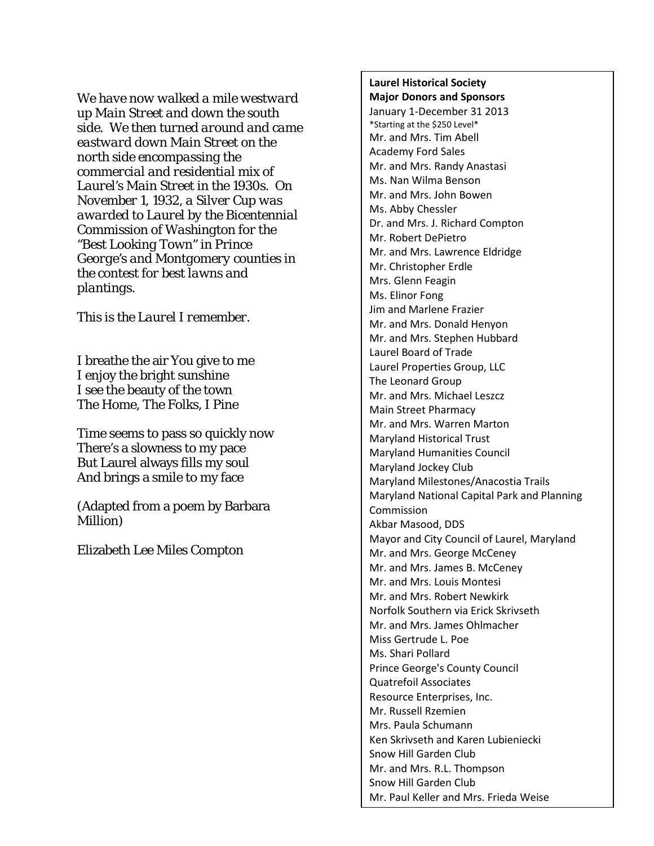*We have now walked a mile westward up Main Street and down the south side. We then turned around and came eastward down Main Street on the north side encompassing the commercial and residential mix of Laurel's Main Street in the 1930s. On November 1, 1932, a Silver Cup was awarded to Laurel by the Bicentennial Commission of Washington for the "Best Looking Town" in Prince George's and Montgomery counties in the contest for best lawns and plantings.*

*This is the Laurel I remember.*

I breathe the air You give to me I enjoy the bright sunshine I see the beauty of the town The Home, The Folks, I Pine

Time seems to pass so quickly now There's a slowness to my pace But Laurel always fills my soul And brings a smile to my face

(Adapted from a poem by Barbara Million)

Elizabeth Lee Miles Compton

**Laurel Historical Society Major Donors and Sponsors** January 1-December 31 2013 \*Starting at the \$250 Level\* Mr. and Mrs. Tim Abell Academy Ford Sales Mr. and Mrs. Randy Anastasi Ms. Nan Wilma Benson Mr. and Mrs. John Bowen Ms. Abby Chessler Dr. and Mrs. J. Richard Compton Mr. Robert DePietro Mr. and Mrs. Lawrence Eldridge Mr. Christopher Erdle Mrs. Glenn Feagin Ms. Elinor Fong Jim and Marlene Frazier Mr. and Mrs. Donald Henyon Mr. and Mrs. Stephen Hubbard Laurel Board of Trade Laurel Properties Group, LLC The Leonard Group Mr. and Mrs. Michael Leszcz Main Street Pharmacy Mr. and Mrs. Warren Marton Maryland Historical Trust Maryland Humanities Council Maryland Jockey Club Maryland Milestones/Anacostia Trails Maryland National Capital Park and Planning Commission Akbar Masood, DDS Mayor and City Council of Laurel, Maryland Mr. and Mrs. George McCeney Mr. and Mrs. James B. McCeney Mr. and Mrs. Louis Montesi Mr. and Mrs. Robert Newkirk Norfolk Southern via Erick Skrivseth Mr. and Mrs. James Ohlmacher Miss Gertrude L. Poe Ms. Shari Pollard Prince George's County Council Quatrefoil Associates Resource Enterprises, Inc. Mr. Russell Rzemien Mrs. Paula Schumann Ken Skrivseth and Karen Lubieniecki Snow Hill Garden Club Mr. and Mrs. R.L. Thompson Snow Hill Garden Club Mr. Paul Keller and Mrs. Frieda Weise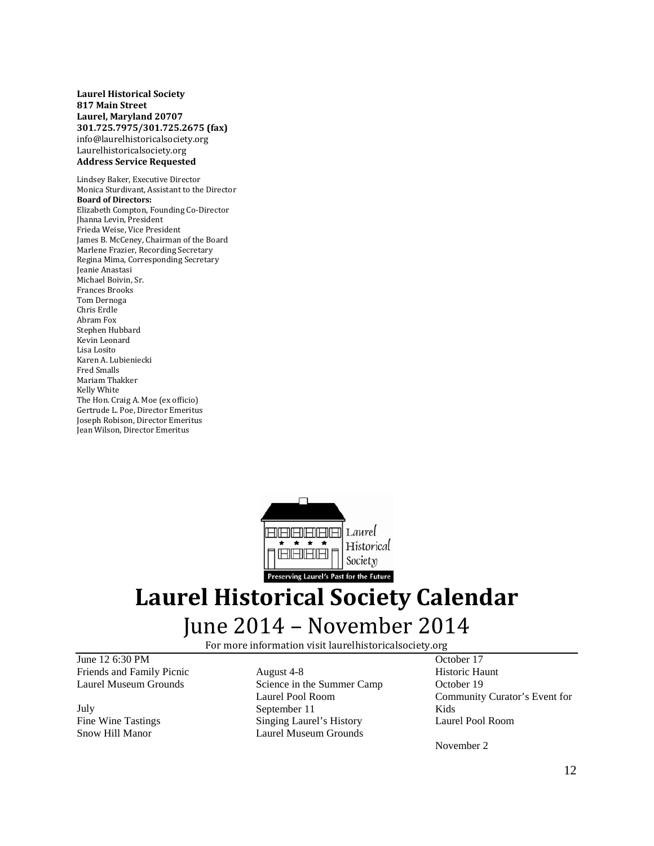**Laurel Historical Society 817 Main Street Laurel, Maryland 20707 301.725.7975/301.725.2675 (fax)** info@laurelhistoricalsociety.org Laurelhistoricalsociety.org **Address Service Requested**

Lindsey Baker, Executive Director Monica Sturdivant, Assistant to the Director **Board of Directors:** Elizabeth Compton, Founding Co-Director Jhanna Levin, President Frieda Weise, Vice President James B. McCeney, Chairman of the Board Marlene Frazier, Recording Secretary Regina Mima, Corresponding Secretary Jeanie Anastasi Michael Boivin, Sr. Frances Brooks Tom Dernoga Chris Erdle Abram Fox Stephen Hubbard Kevin Leonard Lisa Losito Karen A. Lubieniecki Fred Smalls Mariam Thakker Kelly White The Hon. Craig A. Moe (ex officio) Gertrude L. Poe, Director Emeritus Joseph Robison, Director Emeritus Jean Wilson, Director Emeritus



# **Laurel Historical Society Calendar** June 2014 – November 2014

For more information visit laurelhistoricalsociety.org

June 12 6:30 PM Friends and Family Picnic Laurel Museum Grounds

July Fine Wine Tastings Snow Hill Manor

August 4-8 Science in the Summer Camp Laurel Pool Room September 11 Singing Laurel's History Laurel Museum Grounds

October 17 Historic Haunt October 19 Community Curator's Event for Kids Laurel Pool Room

November 2